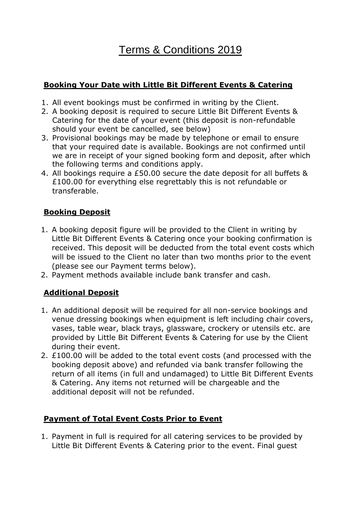# Terms & Conditions 2019

## **Booking Your Date with Little Bit Different Events & Catering**

- 1. All event bookings must be confirmed in writing by the Client.
- 2. A booking deposit is required to secure Little Bit Different Events & Catering for the date of your event (this deposit is non-refundable should your event be cancelled, see below)
- 3. Provisional bookings may be made by telephone or email to ensure that your required date is available. Bookings are not confirmed until we are in receipt of your signed booking form and deposit, after which the following terms and conditions apply.
- 4. All bookings require a £50.00 secure the date deposit for all buffets & £100.00 for everything else regrettably this is not refundable or transferable.

## **Booking Deposit**

- 1. A booking deposit figure will be provided to the Client in writing by Little Bit Different Events & Catering once your booking confirmation is received. This deposit will be deducted from the total event costs which will be issued to the Client no later than two months prior to the event (please see our Payment terms below).
- 2. Payment methods available include bank transfer and cash.

## **Additional Deposit**

- 1. An additional deposit will be required for all non-service bookings and venue dressing bookings when equipment is left including chair covers, vases, table wear, black trays, glassware, crockery or utensils etc. are provided by Little Bit Different Events & Catering for use by the Client during their event.
- 2. £100.00 will be added to the total event costs (and processed with the booking deposit above) and refunded via bank transfer following the return of all items (in full and undamaged) to Little Bit Different Events & Catering. Any items not returned will be chargeable and the additional deposit will not be refunded.

#### **Payment of Total Event Costs Prior to Event**

1. Payment in full is required for all catering services to be provided by Little Bit Different Events & Catering prior to the event. Final guest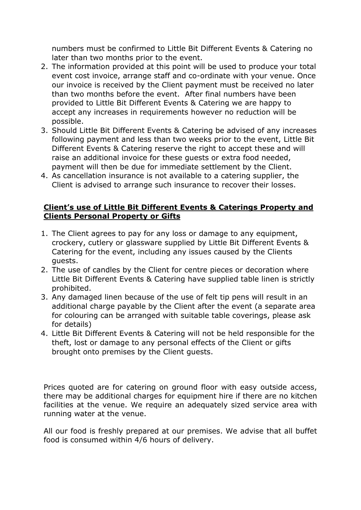numbers must be confirmed to Little Bit Different Events & Catering no later than two months prior to the event.

- 2. The information provided at this point will be used to produce your total event cost invoice, arrange staff and co-ordinate with your venue. Once our invoice is received by the Client payment must be received no later than two months before the event. After final numbers have been provided to Little Bit Different Events & Catering we are happy to accept any increases in requirements however no reduction will be possible.
- 3. Should Little Bit Different Events & Catering be advised of any increases following payment and less than two weeks prior to the event, Little Bit Different Events & Catering reserve the right to accept these and will raise an additional invoice for these guests or extra food needed, payment will then be due for immediate settlement by the Client.
- 4. As cancellation insurance is not available to a catering supplier, the Client is advised to arrange such insurance to recover their losses.

#### **Client's use of Little Bit Different Events & Caterings Property and Clients Personal Property or Gifts**

- 1. The Client agrees to pay for any loss or damage to any equipment, crockery, cutlery or glassware supplied by Little Bit Different Events & Catering for the event, including any issues caused by the Clients guests.
- 2. The use of candles by the Client for centre pieces or decoration where Little Bit Different Events & Catering have supplied table linen is strictly prohibited.
- 3. Any damaged linen because of the use of felt tip pens will result in an additional charge payable by the Client after the event (a separate area for colouring can be arranged with suitable table coverings, please ask for details)
- 4. Little Bit Different Events & Catering will not be held responsible for the theft, lost or damage to any personal effects of the Client or gifts brought onto premises by the Client guests.

Prices quoted are for catering on ground floor with easy outside access, there may be additional charges for equipment hire if there are no kitchen facilities at the venue. We require an adequately sized service area with running water at the venue.

All our food is freshly prepared at our premises. We advise that all buffet food is consumed within 4/6 hours of delivery.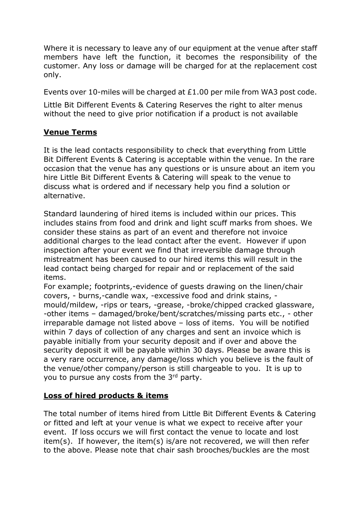Where it is necessary to leave any of our equipment at the venue after staff members have left the function, it becomes the responsibility of the customer. Any loss or damage will be charged for at the replacement cost only.

Events over 10-miles will be charged at £1.00 per mile from WA3 post code.

Little Bit Different Events & Catering Reserves the right to alter menus without the need to give prior notification if a product is not available

#### **Venue Terms**

It is the lead contacts responsibility to check that everything from Little Bit Different Events & Catering is acceptable within the venue. In the rare occasion that the venue has any questions or is unsure about an item you hire Little Bit Different Events & Catering will speak to the venue to discuss what is ordered and if necessary help you find a solution or alternative.

Standard laundering of hired items is included within our prices. This includes stains from food and drink and light scuff marks from shoes. We consider these stains as part of an event and therefore not invoice additional charges to the lead contact after the event. However if upon inspection after your event we find that irreversible damage through mistreatment has been caused to our hired items this will result in the lead contact being charged for repair and or replacement of the said items.

For example; footprints,-evidence of guests drawing on the linen/chair covers, - burns,-candle wax, -excessive food and drink stains, mould/mildew, -rips or tears, -grease, -broke/chipped cracked glassware, -other items – damaged/broke/bent/scratches/missing parts etc., - other irreparable damage not listed above – loss of items. You will be notified within 7 days of collection of any charges and sent an invoice which is payable initially from your security deposit and if over and above the security deposit it will be payable within 30 days. Please be aware this is a very rare occurrence, any damage/loss which you believe is the fault of the venue/other company/person is still chargeable to you. It is up to you to pursue any costs from the 3rd party.

#### **Loss of hired products & items**

The total number of items hired from Little Bit Different Events & Catering or fitted and left at your venue is what we expect to receive after your event. If loss occurs we will first contact the venue to locate and lost item(s). If however, the item(s) is/are not recovered, we will then refer to the above. Please note that chair sash brooches/buckles are the most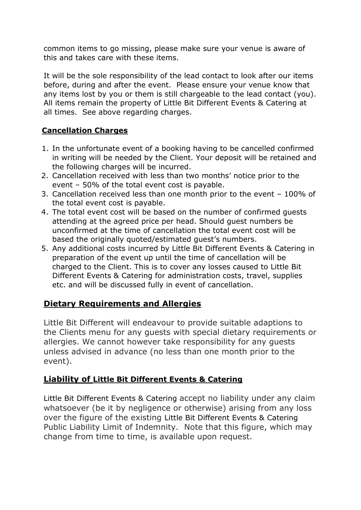common items to go missing, please make sure your venue is aware of this and takes care with these items.

It will be the sole responsibility of the lead contact to look after our items before, during and after the event. Please ensure your venue know that any items lost by you or them is still chargeable to the lead contact (you). All items remain the property of Little Bit Different Events & Catering at all times. See above regarding charges.

## **Cancellation Charges**

- 1. In the unfortunate event of a booking having to be cancelled confirmed in writing will be needed by the Client. Your deposit will be retained and the following charges will be incurred.
- 2. Cancellation received with less than two months' notice prior to the event – 50% of the total event cost is payable.
- 3. Cancellation received less than one month prior to the event 100% of the total event cost is payable.
- 4. The total event cost will be based on the number of confirmed guests attending at the agreed price per head. Should guest numbers be unconfirmed at the time of cancellation the total event cost will be based the originally quoted/estimated guest's numbers.
- 5. Any additional costs incurred by Little Bit Different Events & Catering in preparation of the event up until the time of cancellation will be charged to the Client. This is to cover any losses caused to Little Bit Different Events & Catering for administration costs, travel, supplies etc. and will be discussed fully in event of cancellation.

## **Dietary Requirements and Allergies**

Little Bit Different will endeavour to provide suitable adaptions to the Clients menu for any guests with special dietary requirements or allergies. We cannot however take responsibility for any guests unless advised in advance (no less than one month prior to the event).

## **Liability of Little Bit Different Events & Catering**

Little Bit Different Events & Catering accept no liability under any claim whatsoever (be it by negligence or otherwise) arising from any loss over the figure of the existing Little Bit Different Events & Catering Public Liability Limit of Indemnity. Note that this figure, which may change from time to time, is available upon request.